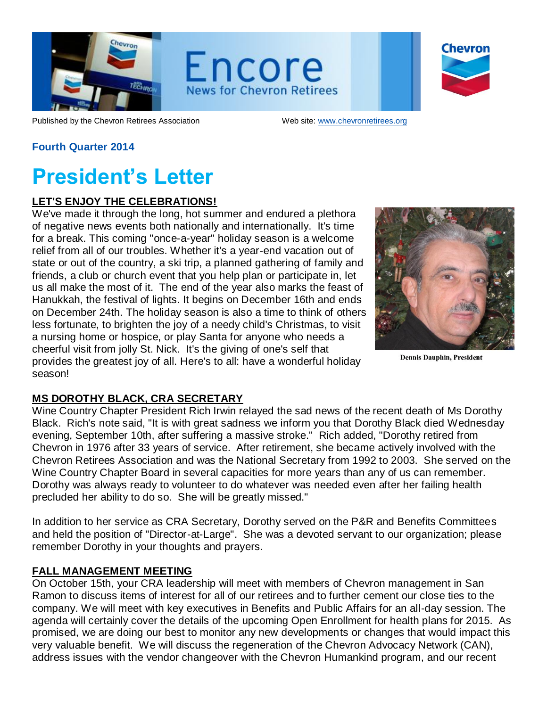

Encore **News for Chevron Retirees** 

| Chevron |
|---------|
|         |
|         |
|         |

Published by the Chevron Retirees Association Web site: [www.chevronretirees.org](http://www.chevronretirees.org/)

## **Fourth Quarter 2014**

# **President's Letter**

## **LET'S ENJOY THE CELEBRATIONS!**

We've made it through the long, hot summer and endured a plethora of negative news events both nationally and internationally. It's time for a break. This coming "once-a-year" holiday season is a welcome relief from all of our troubles. Whether it's a year-end vacation out of state or out of the country, a ski trip, a planned gathering of family and friends, a club or church event that you help plan or participate in, let us all make the most of it. The end of the year also marks the feast of Hanukkah, the festival of lights. It begins on December 16th and ends on December 24th. The holiday season is also a time to think of others less fortunate, to brighten the joy of a needy child's Christmas, to visit a nursing home or hospice, or play Santa for anyone who needs a cheerful visit from jolly St. Nick. It's the giving of one's self that provides the greatest joy of all. Here's to all: have a wonderful holiday season!



**Dennis Dauphin, President** 

## **MS DOROTHY BLACK, CRA SECRETARY**

Wine Country Chapter President Rich Irwin relayed the sad news of the recent death of Ms Dorothy Black. Rich's note said, "It is with great sadness we inform you that Dorothy Black died Wednesday evening, September 10th, after suffering a massive stroke." Rich added, "Dorothy retired from Chevron in 1976 after 33 years of service. After retirement, she became actively involved with the Chevron Retirees Association and was the National Secretary from 1992 to 2003. She served on the Wine Country Chapter Board in several capacities for more years than any of us can remember. Dorothy was always ready to volunteer to do whatever was needed even after her failing health precluded her ability to do so. She will be greatly missed."

In addition to her service as CRA Secretary, Dorothy served on the P&R and Benefits Committees and held the position of "Director-at-Large". She was a devoted servant to our organization; please remember Dorothy in your thoughts and prayers.

### **FALL MANAGEMENT MEETING**

On October 15th, your CRA leadership will meet with members of Chevron management in San Ramon to discuss items of interest for all of our retirees and to further cement our close ties to the company. We will meet with key executives in Benefits and Public Affairs for an all-day session. The agenda will certainly cover the details of the upcoming Open Enrollment for health plans for 2015. As promised, we are doing our best to monitor any new developments or changes that would impact this very valuable benefit. We will discuss the regeneration of the Chevron Advocacy Network (CAN), address issues with the vendor changeover with the Chevron Humankind program, and our recent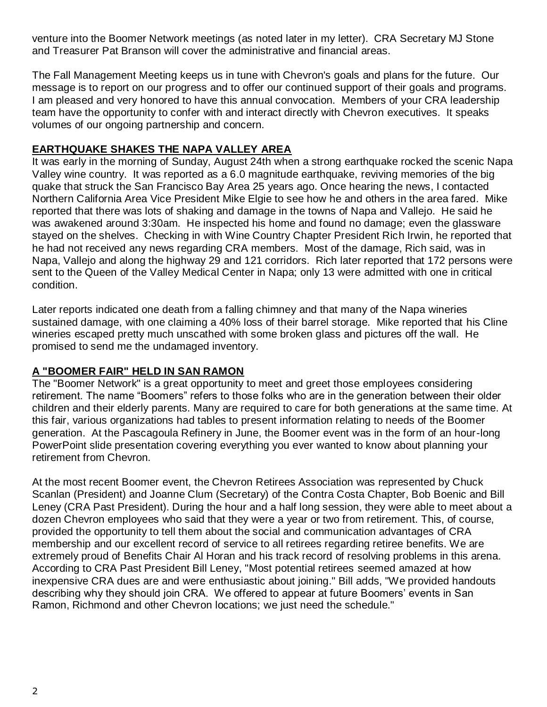venture into the Boomer Network meetings (as noted later in my letter). CRA Secretary MJ Stone and Treasurer Pat Branson will cover the administrative and financial areas.

The Fall Management Meeting keeps us in tune with Chevron's goals and plans for the future. Our message is to report on our progress and to offer our continued support of their goals and programs. I am pleased and very honored to have this annual convocation. Members of your CRA leadership team have the opportunity to confer with and interact directly with Chevron executives. It speaks volumes of our ongoing partnership and concern.

## **EARTHQUAKE SHAKES THE NAPA VALLEY AREA**

It was early in the morning of Sunday, August 24th when a strong earthquake rocked the scenic Napa Valley wine country. It was reported as a 6.0 magnitude earthquake, reviving memories of the big quake that struck the San Francisco Bay Area 25 years ago. Once hearing the news, I contacted Northern California Area Vice President Mike Elgie to see how he and others in the area fared. Mike reported that there was lots of shaking and damage in the towns of Napa and Vallejo. He said he was awakened around 3:30am. He inspected his home and found no damage; even the glassware stayed on the shelves. Checking in with Wine Country Chapter President Rich Irwin, he reported that he had not received any news regarding CRA members. Most of the damage, Rich said, was in Napa, Vallejo and along the highway 29 and 121 corridors. Rich later reported that 172 persons were sent to the Queen of the Valley Medical Center in Napa; only 13 were admitted with one in critical condition.

Later reports indicated one death from a falling chimney and that many of the Napa wineries sustained damage, with one claiming a 40% loss of their barrel storage. Mike reported that his Cline wineries escaped pretty much unscathed with some broken glass and pictures off the wall. He promised to send me the undamaged inventory.

## **A "BOOMER FAIR" HELD IN SAN RAMON**

The "Boomer Network" is a great opportunity to meet and greet those employees considering retirement. The name "Boomers" refers to those folks who are in the generation between their older children and their elderly parents. Many are required to care for both generations at the same time. At this fair, various organizations had tables to present information relating to needs of the Boomer generation. At the Pascagoula Refinery in June, the Boomer event was in the form of an hour-long PowerPoint slide presentation covering everything you ever wanted to know about planning your retirement from Chevron.

At the most recent Boomer event, the Chevron Retirees Association was represented by Chuck Scanlan (President) and Joanne Clum (Secretary) of the Contra Costa Chapter, Bob Boenic and Bill Leney (CRA Past President). During the hour and a half long session, they were able to meet about a dozen Chevron employees who said that they were a year or two from retirement. This, of course, provided the opportunity to tell them about the social and communication advantages of CRA membership and our excellent record of service to all retirees regarding retiree benefits. We are extremely proud of Benefits Chair Al Horan and his track record of resolving problems in this arena. According to CRA Past President Bill Leney, "Most potential retirees seemed amazed at how inexpensive CRA dues are and were enthusiastic about joining." Bill adds, "We provided handouts describing why they should join CRA. We offered to appear at future Boomers' events in San Ramon, Richmond and other Chevron locations; we just need the schedule."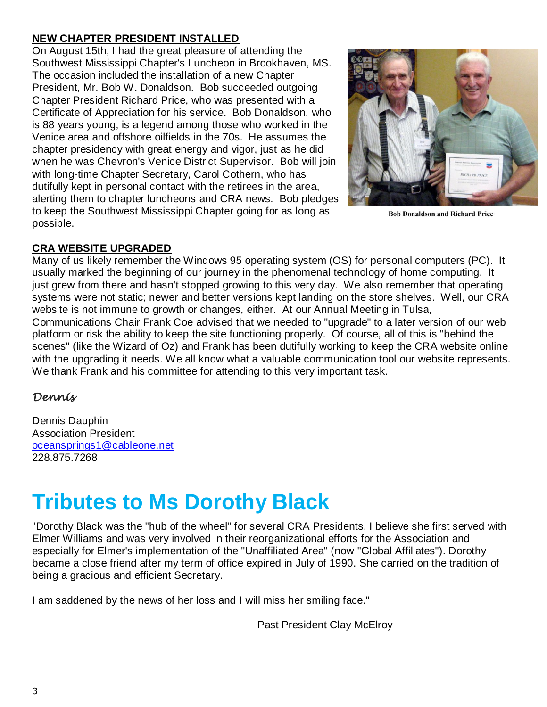## **NEW CHAPTER PRESIDENT INSTALLED**

On August 15th, I had the great pleasure of attending the Southwest Mississippi Chapter's Luncheon in Brookhaven, MS. The occasion included the installation of a new Chapter President, Mr. Bob W. Donaldson. Bob succeeded outgoing Chapter President Richard Price, who was presented with a Certificate of Appreciation for his service. Bob Donaldson, who is 88 years young, is a legend among those who worked in the Venice area and offshore oilfields in the 70s. He assumes the chapter presidency with great energy and vigor, just as he did when he was Chevron's Venice District Supervisor. Bob will join with long-time Chapter Secretary, Carol Cothern, who has dutifully kept in personal contact with the retirees in the area, alerting them to chapter luncheons and CRA news. Bob pledges to keep the Southwest Mississippi Chapter going for as long as possible.



**Bob Donaldson and Richard Price** 

### **CRA WEBSITE UPGRADED**

Many of us likely remember the Windows 95 operating system (OS) for personal computers (PC). It usually marked the beginning of our journey in the phenomenal technology of home computing. It just grew from there and hasn't stopped growing to this very day. We also remember that operating systems were not static; newer and better versions kept landing on the store shelves. Well, our CRA website is not immune to growth or changes, either. At our Annual Meeting in Tulsa, Communications Chair Frank Coe advised that we needed to "upgrade" to a later version of our web platform or risk the ability to keep the site functioning properly. Of course, all of this is "behind the scenes" (like the Wizard of Oz) and Frank has been dutifully working to keep the CRA website online with the upgrading it needs. We all know what a valuable communication tool our website represents. We thank Frank and his committee for attending to this very important task.

## *Dennis*

Dennis Dauphin Association President [oceansprings1@cableone.net](mailto:oceansprings1@cableone.net) 228.875.7268

## **Tributes to Ms Dorothy Black**

"Dorothy Black was the "hub of the wheel" for several CRA Presidents. I believe she first served with Elmer Williams and was very involved in their reorganizational efforts for the Association and especially for Elmer's implementation of the "Unaffiliated Area" (now "Global Affiliates"). Dorothy became a close friend after my term of office expired in July of 1990. She carried on the tradition of being a gracious and efficient Secretary.

I am saddened by the news of her loss and I will miss her smiling face."

Past President Clay McElroy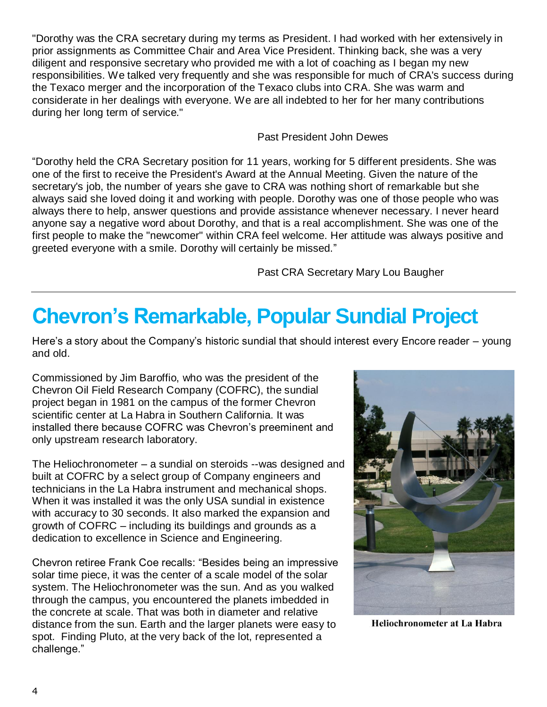"Dorothy was the CRA secretary during my terms as President. I had worked with her extensively in prior assignments as Committee Chair and Area Vice President. Thinking back, she was a very diligent and responsive secretary who provided me with a lot of coaching as I began my new responsibilities. We talked very frequently and she was responsible for much of CRA's success during the Texaco merger and the incorporation of the Texaco clubs into CRA. She was warm and considerate in her dealings with everyone. We are all indebted to her for her many contributions during her long term of service."

### Past President John Dewes

"Dorothy held the CRA Secretary position for 11 years, working for 5 different presidents. She was one of the first to receive the President's Award at the Annual Meeting. Given the nature of the secretary's job, the number of years she gave to CRA was nothing short of remarkable but she always said she loved doing it and working with people. Dorothy was one of those people who was always there to help, answer questions and provide assistance whenever necessary. I never heard anyone say a negative word about Dorothy, and that is a real accomplishment. She was one of the first people to make the "newcomer" within CRA feel welcome. Her attitude was always positive and greeted everyone with a smile. Dorothy will certainly be missed."

Past CRA Secretary Mary Lou Baugher

# **Chevron's Remarkable, Popular Sundial Project**

Here's a story about the Company's historic sundial that should interest every Encore reader – young and old.

Commissioned by Jim Baroffio, who was the president of the Chevron Oil Field Research Company (COFRC), the sundial project began in 1981 on the campus of the former Chevron scientific center at La Habra in Southern California. It was installed there because COFRC was Chevron's preeminent and only upstream research laboratory.

The Heliochronometer – a sundial on steroids --was designed and built at COFRC by a select group of Company engineers and technicians in the La Habra instrument and mechanical shops. When it was installed it was the only USA sundial in existence with accuracy to 30 seconds. It also marked the expansion and growth of COFRC – including its buildings and grounds as a dedication to excellence in Science and Engineering.

Chevron retiree Frank Coe recalls: "Besides being an impressive solar time piece, it was the center of a scale model of the solar system. The Heliochronometer was the sun. And as you walked through the campus, you encountered the planets imbedded in the concrete at scale. That was both in diameter and relative distance from the sun. Earth and the larger planets were easy to spot. Finding Pluto, at the very back of the lot, represented a challenge."



**Heliochronometer at La Habra**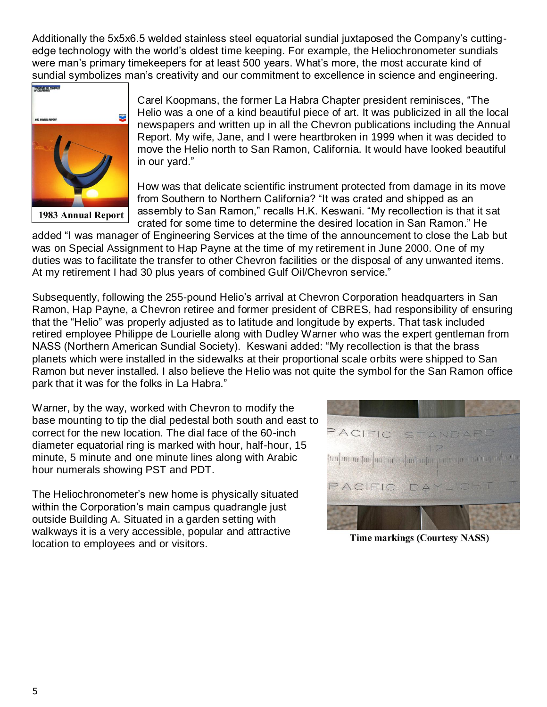Additionally the 5x5x6.5 welded stainless steel equatorial sundial juxtaposed the Company's cuttingedge technology with the world's oldest time keeping. For example, the Heliochronometer sundials were man's primary timekeepers for at least 500 years. What's more, the most accurate kind of sundial symbolizes man's creativity and our commitment to excellence in science and engineering.



Carel Koopmans, the former La Habra Chapter president reminisces, "The Helio was a one of a kind beautiful piece of art. It was publicized in all the local newspapers and written up in all the Chevron publications including the Annual Report. My wife, Jane, and I were heartbroken in 1999 when it was decided to move the Helio north to San Ramon, California. It would have looked beautiful in our yard."

How was that delicate scientific instrument protected from damage in its move from Southern to Northern California? "It was crated and shipped as an assembly to San Ramon," recalls H.K. Keswani. "My recollection is that it sat crated for some time to determine the desired location in San Ramon." He

added "I was manager of Engineering Services at the time of the announcement to close the Lab but was on Special Assignment to Hap Payne at the time of my retirement in June 2000. One of my duties was to facilitate the transfer to other Chevron facilities or the disposal of any unwanted items. At my retirement I had 30 plus years of combined Gulf Oil/Chevron service."

Subsequently, following the 255-pound Helio's arrival at Chevron Corporation headquarters in San Ramon, Hap Payne, a Chevron retiree and former president of CBRES, had responsibility of ensuring that the "Helio" was properly adjusted as to latitude and longitude by experts. That task included retired employee Philippe de Lourielle along with Dudley Warner who was the expert gentleman from NASS (Northern American Sundial Society). Keswani added: "My recollection is that the brass planets which were installed in the sidewalks at their proportional scale orbits were shipped to San Ramon but never installed. I also believe the Helio was not quite the symbol for the San Ramon office park that it was for the folks in La Habra."

Warner, by the way, worked with Chevron to modify the base mounting to tip the dial pedestal both south and east to correct for the new location. The dial face of the 60-inch diameter equatorial ring is marked with hour, half-hour, 15 minute, 5 minute and one minute lines along with Arabic hour numerals showing PST and PDT.

The Heliochronometer's new home is physically situated within the Corporation's main campus quadrangle just outside Building A. Situated in a garden setting with walkways it is a very accessible, popular and attractive location to employees and or visitors.



**Time markings (Courtesy NASS)**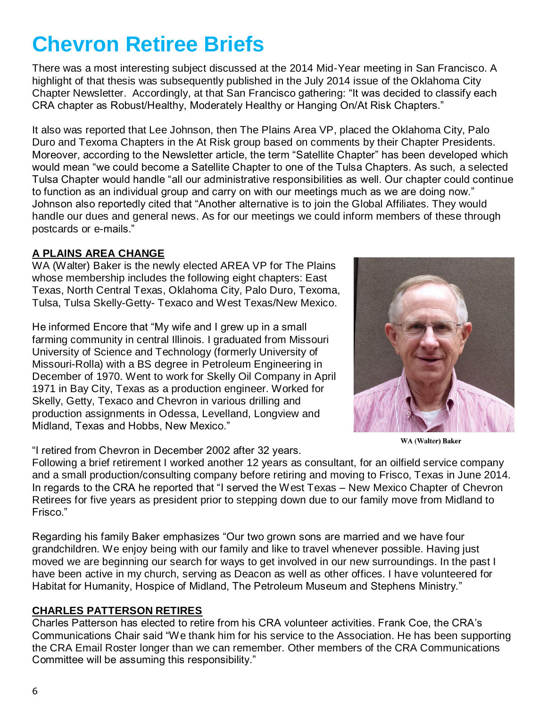# **Chevron Retiree Briefs**

There was a most interesting subject discussed at the 2014 Mid-Year meeting in San Francisco. A highlight of that thesis was subsequently published in the July 2014 issue of the Oklahoma City Chapter Newsletter. Accordingly, at that San Francisco gathering: "It was decided to classify each CRA chapter as Robust/Healthy, Moderately Healthy or Hanging On/At Risk Chapters."

It also was reported that Lee Johnson, then The Plains Area VP, placed the Oklahoma City, Palo Duro and Texoma Chapters in the At Risk group based on comments by their Chapter Presidents. Moreover, according to the Newsletter article, the term "Satellite Chapter" has been developed which would mean "we could become a Satellite Chapter to one of the Tulsa Chapters. As such, a selected Tulsa Chapter would handle "all our administrative responsibilities as well. Our chapter could continue to function as an individual group and carry on with our meetings much as we are doing now." Johnson also reportedly cited that "Another alternative is to join the Global Affiliates. They would handle our dues and general news. As for our meetings we could inform members of these through postcards or e-mails."

## **A PLAINS AREA CHANGE**

WA (Walter) Baker is the newly elected AREA VP for The Plains whose membership includes the following eight chapters: East Texas, North Central Texas, Oklahoma City, Palo Duro, Texoma, Tulsa, Tulsa Skelly-Getty- Texaco and West Texas/New Mexico.

He informed Encore that "My wife and I grew up in a small farming community in central Illinois. I graduated from Missouri University of Science and Technology (formerly University of Missouri-Rolla) with a BS degree in Petroleum Engineering in December of 1970. Went to work for Skelly Oil Company in April 1971 in Bay City, Texas as a production engineer. Worked for Skelly, Getty, Texaco and Chevron in various drilling and production assignments in Odessa, Levelland, Longview and Midland, Texas and Hobbs, New Mexico."

"I retired from Chevron in December 2002 after 32 years.



WA (Walter) Baker

Following a brief retirement I worked another 12 years as consultant, for an oilfield service company and a small production/consulting company before retiring and moving to Frisco, Texas in June 2014. In regards to the CRA he reported that "I served the West Texas – New Mexico Chapter of Chevron Retirees for five years as president prior to stepping down due to our family move from Midland to Frisco."

Regarding his family Baker emphasizes "Our two grown sons are married and we have four grandchildren. We enjoy being with our family and like to travel whenever possible. Having just moved we are beginning our search for ways to get involved in our new surroundings. In the past I have been active in my church, serving as Deacon as well as other offices. I have volunteered for Habitat for Humanity, Hospice of Midland, The Petroleum Museum and Stephens Ministry."

## **CHARLES PATTERSON RETIRES**

Charles Patterson has elected to retire from his CRA volunteer activities. Frank Coe, the CRA's Communications Chair said "We thank him for his service to the Association. He has been supporting the CRA Email Roster longer than we can remember. Other members of the CRA Communications Committee will be assuming this responsibility."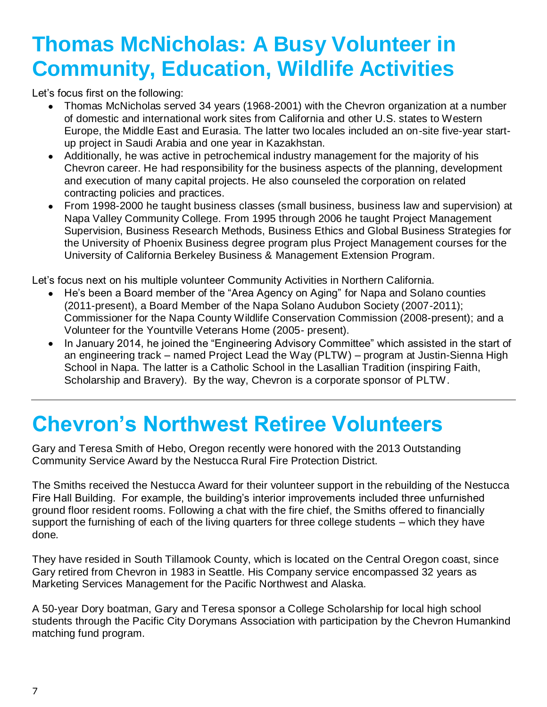# **Thomas McNicholas: A Busy Volunteer in Community, Education, Wildlife Activities**

Let's focus first on the following:

- Thomas McNicholas served 34 years (1968-2001) with the Chevron organization at a number of domestic and international work sites from California and other U.S. states to Western Europe, the Middle East and Eurasia. The latter two locales included an on-site five-year startup project in Saudi Arabia and one year in Kazakhstan.
- Additionally, he was active in petrochemical industry management for the majority of his Chevron career. He had responsibility for the business aspects of the planning, development and execution of many capital projects. He also counseled the corporation on related contracting policies and practices.
- From 1998-2000 he taught business classes (small business, business law and supervision) at Napa Valley Community College. From 1995 through 2006 he taught Project Management Supervision, Business Research Methods, Business Ethics and Global Business Strategies for the University of Phoenix Business degree program plus Project Management courses for the University of California Berkeley Business & Management Extension Program.

Let's focus next on his multiple volunteer Community Activities in Northern California.

- He's been a Board member of the "Area Agency on Aging" for Napa and Solano counties (2011-present), a Board Member of the Napa Solano Audubon Society (2007-2011); Commissioner for the Napa County Wildlife Conservation Commission (2008-present); and a Volunteer for the Yountville Veterans Home (2005- present).
- In January 2014, he joined the "Engineering Advisory Committee" which assisted in the start of  $\bullet$ an engineering track – named Project Lead the Way (PLTW) – program at Justin-Sienna High School in Napa. The latter is a Catholic School in the Lasallian Tradition (inspiring Faith, Scholarship and Bravery). By the way, Chevron is a corporate sponsor of PLTW.

## **Chevron's Northwest Retiree Volunteers**

Gary and Teresa Smith of Hebo, Oregon recently were honored with the 2013 Outstanding Community Service Award by the Nestucca Rural Fire Protection District.

The Smiths received the Nestucca Award for their volunteer support in the rebuilding of the Nestucca Fire Hall Building. For example, the building's interior improvements included three unfurnished ground floor resident rooms. Following a chat with the fire chief, the Smiths offered to financially support the furnishing of each of the living quarters for three college students – which they have done.

They have resided in South Tillamook County, which is located on the Central Oregon coast, since Gary retired from Chevron in 1983 in Seattle. His Company service encompassed 32 years as Marketing Services Management for the Pacific Northwest and Alaska.

A 50-year Dory boatman, Gary and Teresa sponsor a College Scholarship for local high school students through the Pacific City Dorymans Association with participation by the Chevron Humankind matching fund program.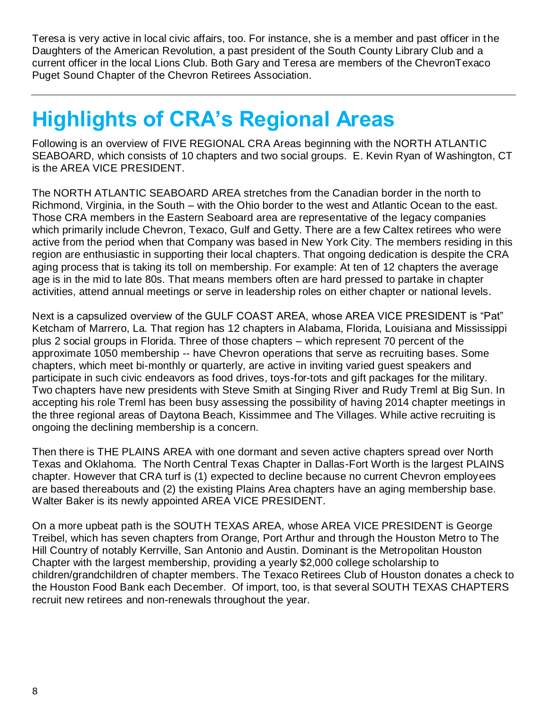Teresa is very active in local civic affairs, too. For instance, she is a member and past officer in the Daughters of the American Revolution, a past president of the South County Library Club and a current officer in the local Lions Club. Both Gary and Teresa are members of the ChevronTexaco Puget Sound Chapter of the Chevron Retirees Association.

# **Highlights of CRA's Regional Areas**

Following is an overview of FIVE REGIONAL CRA Areas beginning with the NORTH ATLANTIC SEABOARD, which consists of 10 chapters and two social groups. E. Kevin Ryan of Washington, CT is the AREA VICE PRESIDENT.

The NORTH ATLANTIC SEABOARD AREA stretches from the Canadian border in the north to Richmond, Virginia, in the South – with the Ohio border to the west and Atlantic Ocean to the east. Those CRA members in the Eastern Seaboard area are representative of the legacy companies which primarily include Chevron, Texaco, Gulf and Getty. There are a few Caltex retirees who were active from the period when that Company was based in New York City. The members residing in this region are enthusiastic in supporting their local chapters. That ongoing dedication is despite the CRA aging process that is taking its toll on membership. For example: At ten of 12 chapters the average age is in the mid to late 80s. That means members often are hard pressed to partake in chapter activities, attend annual meetings or serve in leadership roles on either chapter or national levels.

Next is a capsulized overview of the GULF COAST AREA, whose AREA VICE PRESIDENT is "Pat" Ketcham of Marrero, La. That region has 12 chapters in Alabama, Florida, Louisiana and Mississippi plus 2 social groups in Florida. Three of those chapters – which represent 70 percent of the approximate 1050 membership -- have Chevron operations that serve as recruiting bases. Some chapters, which meet bi-monthly or quarterly, are active in inviting varied guest speakers and participate in such civic endeavors as food drives, toys-for-tots and gift packages for the military. Two chapters have new presidents with Steve Smith at Singing River and Rudy Treml at Big Sun. In accepting his role Treml has been busy assessing the possibility of having 2014 chapter meetings in the three regional areas of Daytona Beach, Kissimmee and The Villages. While active recruiting is ongoing the declining membership is a concern.

Then there is THE PLAINS AREA with one dormant and seven active chapters spread over North Texas and Oklahoma. The North Central Texas Chapter in Dallas-Fort Worth is the largest PLAINS chapter. However that CRA turf is (1) expected to decline because no current Chevron employees are based thereabouts and (2) the existing Plains Area chapters have an aging membership base. Walter Baker is its newly appointed AREA VICE PRESIDENT.

On a more upbeat path is the SOUTH TEXAS AREA, whose AREA VICE PRESIDENT is George Treibel, which has seven chapters from Orange, Port Arthur and through the Houston Metro to The Hill Country of notably Kerrville, San Antonio and Austin. Dominant is the Metropolitan Houston Chapter with the largest membership, providing a yearly \$2,000 college scholarship to children/grandchildren of chapter members. The Texaco Retirees Club of Houston donates a check to the Houston Food Bank each December. Of import, too, is that several SOUTH TEXAS CHAPTERS recruit new retirees and non-renewals throughout the year.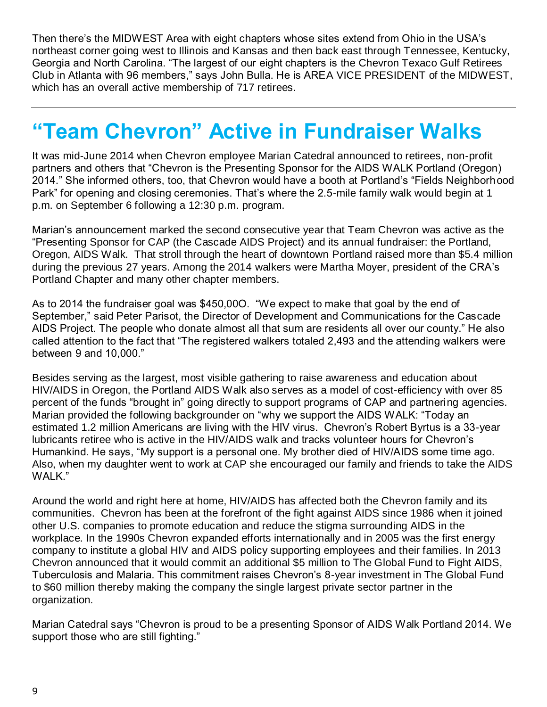Then there's the MIDWEST Area with eight chapters whose sites extend from Ohio in the USA's northeast corner going west to Illinois and Kansas and then back east through Tennessee, Kentucky, Georgia and North Carolina. "The largest of our eight chapters is the Chevron Texaco Gulf Retirees Club in Atlanta with 96 members," says John Bulla. He is AREA VICE PRESIDENT of the MIDWEST, which has an overall active membership of 717 retirees.

## **"Team Chevron" Active in Fundraiser Walks**

It was mid-June 2014 when Chevron employee Marian Catedral announced to retirees, non-profit partners and others that "Chevron is the Presenting Sponsor for the AIDS WALK Portland (Oregon) 2014." She informed others, too, that Chevron would have a booth at Portland's "Fields Neighborhood Park" for opening and closing ceremonies. That's where the 2.5-mile family walk would begin at 1 p.m. on September 6 following a 12:30 p.m. program.

Marian's announcement marked the second consecutive year that Team Chevron was active as the "Presenting Sponsor for CAP (the Cascade AIDS Project) and its annual fundraiser: the Portland, Oregon, AIDS Walk. That stroll through the heart of downtown Portland raised more than \$5.4 million during the previous 27 years. Among the 2014 walkers were Martha Moyer, president of the CRA's Portland Chapter and many other chapter members.

As to 2014 the fundraiser goal was \$450,00O. "We expect to make that goal by the end of September," said Peter Parisot, the Director of Development and Communications for the Cascade AIDS Project. The people who donate almost all that sum are residents all over our county." He also called attention to the fact that "The registered walkers totaled 2,493 and the attending walkers were between 9 and 10,000."

Besides serving as the largest, most visible gathering to raise awareness and education about HIV/AIDS in Oregon, the Portland AIDS Walk also serves as a model of cost-efficiency with over 85 percent of the funds "brought in" going directly to support programs of CAP and partnering agencies. Marian provided the following backgrounder on "why we support the AIDS WALK: "Today an estimated 1.2 million Americans are living with the HIV virus. Chevron's Robert Byrtus is a 33-year lubricants retiree who is active in the HIV/AIDS walk and tracks volunteer hours for Chevron's Humankind. He says, "My support is a personal one. My brother died of HIV/AIDS some time ago. Also, when my daughter went to work at CAP she encouraged our family and friends to take the AIDS WALK."

Around the world and right here at home, HIV/AIDS has affected both the Chevron family and its communities. Chevron has been at the forefront of the fight against AIDS since 1986 when it joined other U.S. companies to promote education and reduce the stigma surrounding AIDS in the workplace. In the 1990s Chevron expanded efforts internationally and in 2005 was the first energy company to institute a global HIV and AIDS policy supporting employees and their families. In 2013 Chevron announced that it would commit an additional \$5 million to The Global Fund to Fight AIDS, Tuberculosis and Malaria. This commitment raises Chevron's 8-year investment in The Global Fund to \$60 million thereby making the company the single largest private sector partner in the organization.

Marian Catedral says "Chevron is proud to be a presenting Sponsor of AIDS Walk Portland 2014. We support those who are still fighting."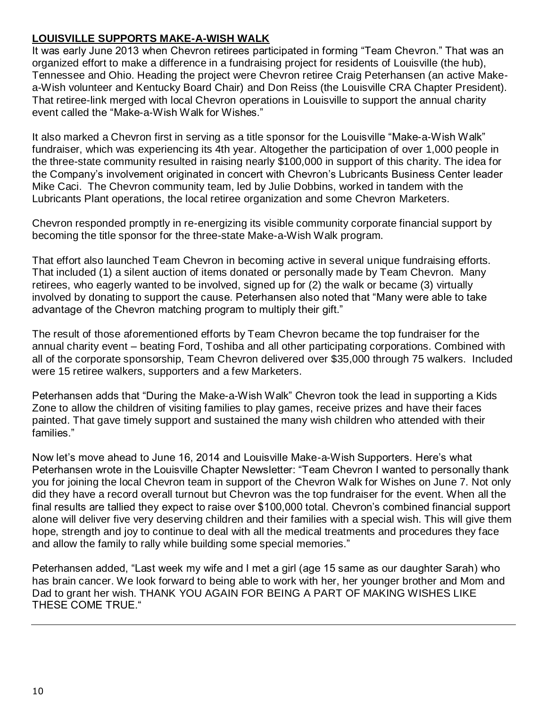## **LOUISVILLE SUPPORTS MAKE-A-WISH WALK**

It was early June 2013 when Chevron retirees participated in forming "Team Chevron." That was an organized effort to make a difference in a fundraising project for residents of Louisville (the hub), Tennessee and Ohio. Heading the project were Chevron retiree Craig Peterhansen (an active Makea-Wish volunteer and Kentucky Board Chair) and Don Reiss (the Louisville CRA Chapter President). That retiree-link merged with local Chevron operations in Louisville to support the annual charity event called the "Make-a-Wish Walk for Wishes."

It also marked a Chevron first in serving as a title sponsor for the Louisville "Make-a-Wish Walk" fundraiser, which was experiencing its 4th year. Altogether the participation of over 1,000 people in the three-state community resulted in raising nearly \$100,000 in support of this charity. The idea for the Company's involvement originated in concert with Chevron's Lubricants Business Center leader Mike Caci. The Chevron community team, led by Julie Dobbins, worked in tandem with the Lubricants Plant operations, the local retiree organization and some Chevron Marketers.

Chevron responded promptly in re-energizing its visible community corporate financial support by becoming the title sponsor for the three-state Make-a-Wish Walk program.

That effort also launched Team Chevron in becoming active in several unique fundraising efforts. That included (1) a silent auction of items donated or personally made by Team Chevron. Many retirees, who eagerly wanted to be involved, signed up for (2) the walk or became (3) virtually involved by donating to support the cause. Peterhansen also noted that "Many were able to take advantage of the Chevron matching program to multiply their gift."

The result of those aforementioned efforts by Team Chevron became the top fundraiser for the annual charity event – beating Ford, Toshiba and all other participating corporations. Combined with all of the corporate sponsorship, Team Chevron delivered over \$35,000 through 75 walkers. Included were 15 retiree walkers, supporters and a few Marketers.

Peterhansen adds that "During the Make-a-Wish Walk" Chevron took the lead in supporting a Kids Zone to allow the children of visiting families to play games, receive prizes and have their faces painted. That gave timely support and sustained the many wish children who attended with their families."

Now let's move ahead to June 16, 2014 and Louisville Make-a-Wish Supporters. Here's what Peterhansen wrote in the Louisville Chapter Newsletter: "Team Chevron I wanted to personally thank you for joining the local Chevron team in support of the Chevron Walk for Wishes on June 7. Not only did they have a record overall turnout but Chevron was the top fundraiser for the event. When all the final results are tallied they expect to raise over \$100,000 total. Chevron's combined financial support alone will deliver five very deserving children and their families with a special wish. This will give them hope, strength and joy to continue to deal with all the medical treatments and procedures they face and allow the family to rally while building some special memories."

Peterhansen added, "Last week my wife and I met a girl (age 15 same as our daughter Sarah) who has brain cancer. We look forward to being able to work with her, her younger brother and Mom and Dad to grant her wish. THANK YOU AGAIN FOR BEING A PART OF MAKING WISHES LIKE THESE COME TRUE."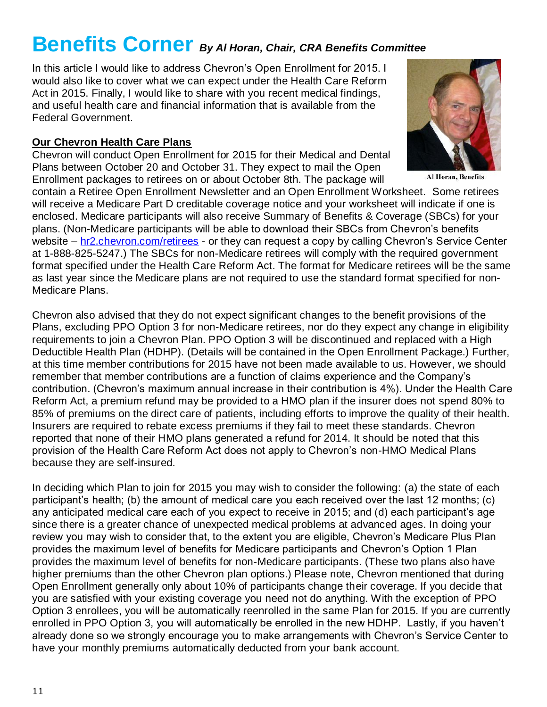## **Benefits Corner** *By Al Horan, Chair, CRA Benefits Committee*

In this article I would like to address Chevron's Open Enrollment for 2015. I would also like to cover what we can expect under the Health Care Reform Act in 2015. Finally, I would like to share with you recent medical findings, and useful health care and financial information that is available from the Federal Government.

## **Our Chevron Health Care Plans**

Chevron will conduct Open Enrollment for 2015 for their Medical and Dental Plans between October 20 and October 31. They expect to mail the Open Enrollment packages to retirees on or about October 8th. The package will

contain a Retiree Open Enrollment Newsletter and an Open Enrollment Worksheet. Some retirees will receive a Medicare Part D creditable coverage notice and your worksheet will indicate if one is enclosed. Medicare participants will also receive Summary of Benefits & Coverage (SBCs) for your plans. (Non-Medicare participants will be able to download their SBCs from Chevron's benefits website – [hr2.chevron.com/retirees](http://hr2.chevron.com/retirees) - or they can request a copy by calling Chevron's Service Center at 1-888-825-5247.) The SBCs for non-Medicare retirees will comply with the required government format specified under the Health Care Reform Act. The format for Medicare retirees will be the same as last year since the Medicare plans are not required to use the standard format specified for non-Medicare Plans.

Chevron also advised that they do not expect significant changes to the benefit provisions of the Plans, excluding PPO Option 3 for non-Medicare retirees, nor do they expect any change in eligibility requirements to join a Chevron Plan. PPO Option 3 will be discontinued and replaced with a High Deductible Health Plan (HDHP). (Details will be contained in the Open Enrollment Package.) Further, at this time member contributions for 2015 have not been made available to us. However, we should remember that member contributions are a function of claims experience and the Company's contribution. (Chevron's maximum annual increase in their contribution is 4%). Under the Health Care Reform Act, a premium refund may be provided to a HMO plan if the insurer does not spend 80% to 85% of premiums on the direct care of patients, including efforts to improve the quality of their health. Insurers are required to rebate excess premiums if they fail to meet these standards. Chevron reported that none of their HMO plans generated a refund for 2014. It should be noted that this provision of the Health Care Reform Act does not apply to Chevron's non-HMO Medical Plans because they are self-insured.

In deciding which Plan to join for 2015 you may wish to consider the following: (a) the state of each participant's health; (b) the amount of medical care you each received over the last 12 months; (c) any anticipated medical care each of you expect to receive in 2015; and (d) each participant's age since there is a greater chance of unexpected medical problems at advanced ages. In doing your review you may wish to consider that, to the extent you are eligible, Chevron's Medicare Plus Plan provides the maximum level of benefits for Medicare participants and Chevron's Option 1 Plan provides the maximum level of benefits for non-Medicare participants. (These two plans also have higher premiums than the other Chevron plan options.) Please note, Chevron mentioned that during Open Enrollment generally only about 10% of participants change their coverage. If you decide that you are satisfied with your existing coverage you need not do anything. With the exception of PPO Option 3 enrollees, you will be automatically reenrolled in the same Plan for 2015. If you are currently enrolled in PPO Option 3, you will automatically be enrolled in the new HDHP. Lastly, if you haven't already done so we strongly encourage you to make arrangements with Chevron's Service Center to have your monthly premiums automatically deducted from your bank account.



Al Horan, Benefits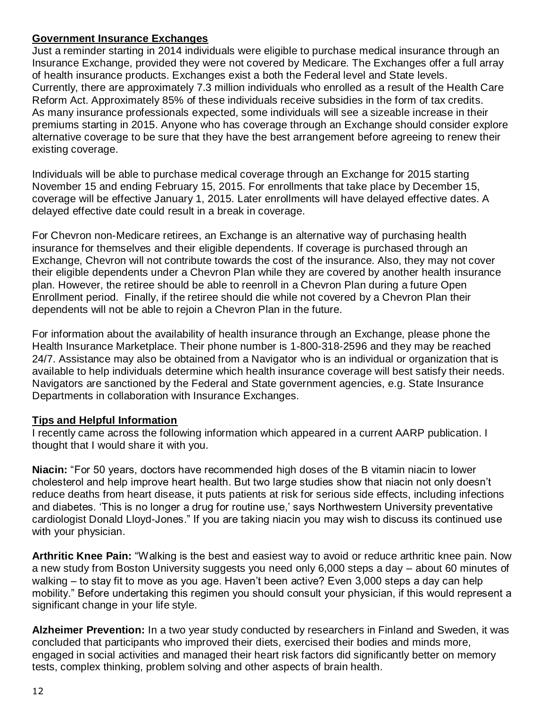## **Government Insurance Exchanges**

Just a reminder starting in 2014 individuals were eligible to purchase medical insurance through an Insurance Exchange, provided they were not covered by Medicare. The Exchanges offer a full array of health insurance products. Exchanges exist a both the Federal level and State levels. Currently, there are approximately 7.3 million individuals who enrolled as a result of the Health Care Reform Act. Approximately 85% of these individuals receive subsidies in the form of tax credits. As many insurance professionals expected, some individuals will see a sizeable increase in their premiums starting in 2015. Anyone who has coverage through an Exchange should consider explore alternative coverage to be sure that they have the best arrangement before agreeing to renew their existing coverage.

Individuals will be able to purchase medical coverage through an Exchange for 2015 starting November 15 and ending February 15, 2015. For enrollments that take place by December 15, coverage will be effective January 1, 2015. Later enrollments will have delayed effective dates. A delayed effective date could result in a break in coverage.

For Chevron non-Medicare retirees, an Exchange is an alternative way of purchasing health insurance for themselves and their eligible dependents. If coverage is purchased through an Exchange, Chevron will not contribute towards the cost of the insurance. Also, they may not cover their eligible dependents under a Chevron Plan while they are covered by another health insurance plan. However, the retiree should be able to reenroll in a Chevron Plan during a future Open Enrollment period. Finally, if the retiree should die while not covered by a Chevron Plan their dependents will not be able to rejoin a Chevron Plan in the future.

For information about the availability of health insurance through an Exchange, please phone the Health Insurance Marketplace. Their phone number is 1-800-318-2596 and they may be reached 24/7. Assistance may also be obtained from a Navigator who is an individual or organization that is available to help individuals determine which health insurance coverage will best satisfy their needs. Navigators are sanctioned by the Federal and State government agencies, e.g. State Insurance Departments in collaboration with Insurance Exchanges.

## **Tips and Helpful Information**

I recently came across the following information which appeared in a current AARP publication. I thought that I would share it with you.

**Niacin:** "For 50 years, doctors have recommended high doses of the B vitamin niacin to lower cholesterol and help improve heart health. But two large studies show that niacin not only doesn't reduce deaths from heart disease, it puts patients at risk for serious side effects, including infections and diabetes. 'This is no longer a drug for routine use,' says Northwestern University preventative cardiologist Donald Lloyd-Jones." If you are taking niacin you may wish to discuss its continued use with your physician.

**Arthritic Knee Pain:** "Walking is the best and easiest way to avoid or reduce arthritic knee pain. Now a new study from Boston University suggests you need only 6,000 steps a day – about 60 minutes of walking – to stay fit to move as you age. Haven't been active? Even 3,000 steps a day can help mobility." Before undertaking this regimen you should consult your physician, if this would represent a significant change in your life style.

**Alzheimer Prevention:** In a two year study conducted by researchers in Finland and Sweden, it was concluded that participants who improved their diets, exercised their bodies and minds more, engaged in social activities and managed their heart risk factors did significantly better on memory tests, complex thinking, problem solving and other aspects of brain health.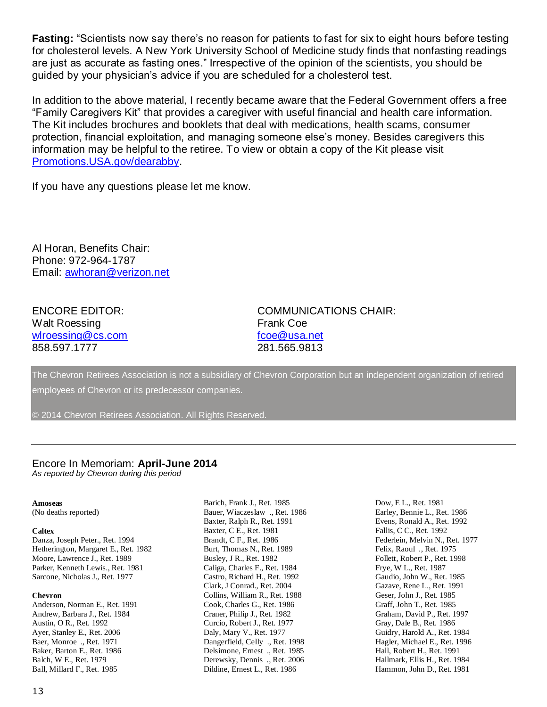**Fasting:** "Scientists now say there's no reason for patients to fast for six to eight hours before testing for cholesterol levels. A New York University School of Medicine study finds that nonfasting readings are just as accurate as fasting ones." Irrespective of the opinion of the scientists, you should be guided by your physician's advice if you are scheduled for a cholesterol test.

In addition to the above material, I recently became aware that the Federal Government offers a free "Family Caregivers Kit" that provides a caregiver with useful financial and health care information. The Kit includes brochures and booklets that deal with medications, health scams, consumer protection, financial exploitation, and managing someone else's money. Besides caregivers this information may be helpful to the retiree. To view or obtain a copy of the Kit please visit [Promotions.USA.gov/dearabby.](http://promotions.usa.gov/dearabby)

If you have any questions please let me know.

Al Horan, Benefits Chair: Phone: 972-964-1787 Email: [awhoran@verizon.net](mailto:awhoran@verizon.net)

## Walt Roessing **Frank Coe** [wlroessing@cs.com](mailto:wlroessing@cs.com) [fcoe@usa.net](mailto:fcoe@usa.net) 858.597.1777 281.565.9813

ENCORE EDITOR: COMMUNICATIONS CHAIR:

The Chevron Retirees Association is not a subsidiary of Chevron Corporation but an independent organization of retired employees of Chevron or its predecessor companies.

© 2014 Chevron Retirees Association. All Rights Reserved.

### Encore In Memoriam: **April-June 2014**

*As reported by Chevron during this period*

**Amoseas**

(No deaths reported)

#### **Caltex**

Danza, Joseph Peter., Ret. 1994 Hetherington, Margaret E., Ret. 1982 Moore, Lawrence J., Ret. 1989 Parker, Kenneth Lewis., Ret. 1981 Sarcone, Nicholas J., Ret. 1977

#### **Chevron**

Anderson, Norman E., Ret. 1991 Andrew, Barbara J., Ret. 1984 Austin, O R., Ret. 1992 Ayer, Stanley E., Ret. 2006 Baer, Monroe ., Ret. 1971 Baker, Barton E., Ret. 1986 Balch, W E., Ret. 1979 Ball, Millard F., Ret. 1985

Barich, Frank J., Ret. 1985 Bauer, Wiaczeslaw ., Ret. 1986 Baxter, Ralph R., Ret. 1991 Baxter, C E., Ret. 1981 Brandt, C F., Ret. 1986 Burt, Thomas N., Ret. 1989 Busley, J R., Ret. 1982 Caliga, Charles F., Ret. 1984 Castro, Richard H., Ret. 1992 Clark, J Conrad., Ret. 2004 Collins, William R., Ret. 1988 Cook, Charles G., Ret. 1986 Craner, Philip J., Ret. 1982 Curcio, Robert J., Ret. 1977 Daly, Mary V., Ret. 1977 Dangerfield, Celly ., Ret. 1998 Delsimone, Ernest ., Ret. 1985 Derewsky, Dennis ., Ret. 2006 Dildine, Ernest L., Ret. 1986

Dow, E L., Ret. 1981 Earley, Bennie L., Ret. 1986 Evens, Ronald A., Ret. 1992 Fallis, C C., Ret. 1992 Federlein, Melvin N., Ret. 1977 Felix, Raoul ., Ret. 1975 Follett, Robert P., Ret. 1998 Frye, W L., Ret. 1987 Gaudio, John W., Ret. 1985 Gazave, Rene L., Ret. 1991 Geser, John J., Ret. 1985 Graff, John T., Ret. 1985 Graham, David P., Ret. 1997 Gray, Dale B., Ret. 1986 Guidry, Harold A., Ret. 1984 Hagler, Michael E., Ret. 1996 Hall, Robert H., Ret. 1991 Hallmark, Ellis H., Ret. 1984 Hammon, John D., Ret. 1981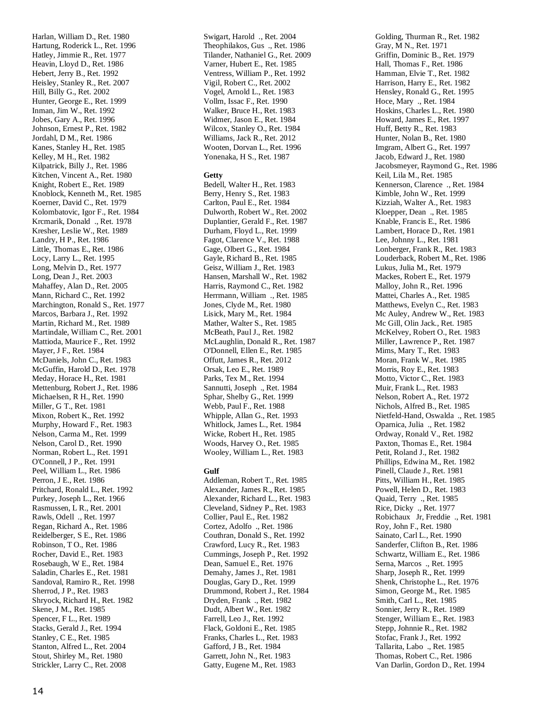Harlan, William D., Ret. 1980 Hartung, Roderick L., Ret. 1996 Hatley, Jimmie R., Ret. 1977 Heavin, Lloyd D., Ret. 1986 Hebert, Jerry B., Ret. 1992 Heisley, Stanley R., Ret. 2007 Hill, Billy G., Ret. 2002 Hunter, George E., Ret. 1999 Inman, Jim W., Ret. 1992 Jobes, Gary A., Ret. 1996 Johnson, Ernest P., Ret. 1982 Jordahl, D M., Ret. 1986 Kanes, Stanley H., Ret. 1985 Kelley, M H., Ret. 1982 Kilpatrick, Billy J., Ret. 1986 Kitchen, Vincent A., Ret. 1980 Knight, Robert E., Ret. 1989 Knoblock, Kenneth M., Ret. 1985 Koerner, David C., Ret. 1979 Kolombatovic, Igor F., Ret. 1984 Krcmarik, Donald ., Ret. 1978 Kresher, Leslie W., Ret. 1989 Landry, H P., Ret. 1986 Little, Thomas E., Ret. 1986 Locy, Larry L., Ret. 1995 Long, Melvin D., Ret. 1977 Long, Dean J., Ret. 2003 Mahaffey, Alan D., Ret. 2005 Mann, Richard C., Ret. 1992 Marchington, Ronald S., Ret. 1977 Marcos, Barbara J., Ret. 1992 Martin, Richard M., Ret. 1989 Martindale, William C., Ret. 2001 Mattioda, Maurice F., Ret. 1992 Mayer, J F., Ret. 1984 McDaniels, John C., Ret. 1983 McGuffin, Harold D., Ret. 1978 Meday, Horace H., Ret. 1981 Mettenburg, Robert J., Ret. 1986 Michaelsen, R H., Ret. 1990 Miller, G T., Ret. 1981 Mixon, Robert K., Ret. 1992 Murphy, Howard F., Ret. 1983 Nelson, Carma M., Ret. 1999 Nelson, Carol D., Ret. 1990 Norman, Robert L., Ret. 1991 O'Connell, J P., Ret. 1991 Peel, William L., Ret. 1986 Perron, J E., Ret. 1986 Pritchard, Ronald L., Ret. 1992 Purkey, Joseph L., Ret. 1966 Rasmussen, L R., Ret. 2001 Rawls, Odell ., Ret. 1997 Regan, Richard A., Ret. 1986 Reidelberger, S E., Ret. 1986 Robinson, T O., Ret. 1986 Rocher, David E., Ret. 1983 Rosebaugh, W E., Ret. 1984 Saladin, Charles E., Ret. 1981 Sandoval, Ramiro R., Ret. 1998 Sherrod, J P., Ret. 1983 Shryock, Richard H., Ret. 1982 Skene, J M., Ret. 1985 Spencer, F L., Ret. 1989 Stacks, Gerald J., Ret. 1994 Stanley, C E., Ret. 1985 Stanton, Alfred L., Ret. 2004 Stout, Shirley M., Ret. 1980 Strickler, Larry C., Ret. 2008

Swigart, Harold ., Ret. 200 4 Theophilakos, Gus ., Ret. 1986 Tilander, Nathaniel G., Ret. 2009 Varner, Hubert E., Ret. 1985 Ventress, William P., Ret. 1992 Vigil, Robert C., Ret. 2002 Vogel, Arnold L., Ret. 1983 Vollm, Issac F., Ret. 1990 Walker, Bruce H., Ret. 1983 Widmer, Jason E., Ret. 1984 Wilcox, Stanley O., Ret. 1984 Williams, Jack R., Ret. 2012 Wooten, Dorvan L., Ret. 1996 Yonenaka, H S., Ret. 1987

#### **Getty**

Bedell, Walter H., Ret. 1983 Berry, Henry S., Ret. 1983 Carlton, Paul E., Ret. 1984 Dulworth, Robert W., Ret. 2002 Duplantier, Gerald F., Ret. 1987 Durham, Floyd L., Ret. 1999 Fagot, Clarence V., Ret. 1988 Gage, Olbert G., Ret. 1984 Gayle, Richard B., Ret. 1985 Geisz, William J., Ret. 1983 Hansen, Marshall W., Ret. 1982 Harris, Raymond C., Ret. 1982 Herrmann, William ., Ret. 1985 Jones, Clyde M., Ret. 1980 Lisick, Mary M., Ret. 1984 Mather, Walter S., Ret. 1985 McBeath, Paul J., Ret. 1982 McLaughlin, Donald R., Ret. 1987 O'Donnell, Ellen E., Ret. 1985 Offutt, James R., Ret. 2012 Orsak, Leo E., Ret. 1989 Parks, Tex M., Ret. 199 4 Sannutti, Joseph ., Ret. 1984 Sphar, Shelby G., Ret. 1999 Webb, Paul F., Ret. 1988 Whipple, Allan G., Ret. 1993 Whitlock, James L., Ret. 1984 Wicke, Robert H., Ret. 1985 Woods, Harvey O., Ret. 1985 Wooley, William L., Ret. 1983

#### **Gulf**

Addleman, Robert T., Ret. 1985 Alexander, James R., Ret. 1985 Alexander, Richard L., Ret. 1983 Cleveland, Sidney P., Ret. 1983 Collier, Paul E., Ret. 1982 Cortez, Adolfo ., Ret. 1986 Couthran, Donald S., Ret. 1992 Crawford, Lucy R., Ret. 1983 Cummings, Joseph P., Ret. 1992 Dean, Samuel E., Ret. 1976 Demahy, James J., Ret. 1981 Douglas, Gary D., Ret. 1999 Drummond, Robert J., Ret. 1984 Dryden, Frank ., Ret. 1982 Dudt, Albert W., Ret. 1982 Farrell, Leo J., Ret. 1992 Flack, Goldoni E., Ret. 1985 Franks, Charles L., Ret. 1983 Gafford, J B., Ret. 1984 Garrett, John N., Ret. 1983 Gatty, Eugene M., Ret. 1983

Golding, Thurman R., Ret. 1982 Gray, M N., Ret. 1971 Griffin, Dominic B., Ret. 1979 Hall, Thomas F., Ret. 1986 Hamman, Elvie T., Ret. 1982 Harrison, Harry E., Ret. 1982 Hensley, Ronald G., Ret. 1995 Hoce, Mary ., Ret. 1984 Hoskins, Charles L., Ret. 1980 Howard, James E., Ret. 1997 Huff, Betty R., Ret. 1983 Hunter, Nolan B., Ret. 1980 Imgram, Albert G., Ret. 1997 Jacob, Edward J., Ret. 1980 Jacobsmeyer, Raymond G., Ret. 1986 Keil, Lila M., Ret. 1985 Kennerson, Clarence ., Ret. 1984 Kimble, John W., Ret. 1999 Kizziah, Walter A., Ret. 1983 Kloepper, Dean ., Ret. 1985 Knable, Francis E., Ret. 1986 Lambert, Horace D., Ret. 1981 Lee, Johnny L., Ret. 1981 Lonberger, Frank R., Ret. 1983 Louderback, Robert M., Ret. 1986 Lukus, Julia M., Ret. 1979 Mackes, Robert E., Ret. 1979 Malloy, John R., Ret. 1996 Mattei, Charles A., Ret. 1985 Matthews, Evelyn C., Ret. 1983 Mc Auley, Andrew W., Ret. 1983 Mc Gill, Olin Jack., Ret. 1985 McKelvey, Robert O., Ret. 1983 Miller, Lawrence P., Ret. 1987 Mims, Mary T., Ret. 1983 Moran, Frank W., Ret. 1985 Morris, Roy E., Ret. 1983 Motto, Victor C., Ret. 1983 Muir, Frank L., Ret. 1983 Nelson, Robert A., Ret. 1972 Nichols, Alfred B., Ret. 1985 Nietfeld -Hand, Oswalda ., Ret. 1985 Oparnica, Julia ., Ret. 1982 Ordway, Ronald V., Ret. 1982 Paxton, Thomas E., Ret. 1984 Petit, Roland J., Ret. 1982 Phillips, Edwina M., Ret. 1982 Pinell, Claude J., Ret. 1981 Pitts, William H., Ret. 1985 Powell, Helen D., Ret. 1983 Quaid, Terry ., Ret. 1985 Rice, Dicky ., Ret. 1977 Robichaux Jr, Freddie ., Ret. 1981 Roy, John F., Ret. 1980 Sainato, Carl L., Ret. 1990 Sanderfer, Clifton B., Ret. 1986 Schwartz, William E., Ret. 1986 Serna, Marcos ., Ret. 1995 Sharp, Joseph R., Ret. 1999 Shenk, Christophe L., Ret. 1976 Simon, George M., Ret. 1985 Smith, Carl L., Ret. 1985 Sonnier, Jerry R., Ret. 1989 Stenger, William E., Ret. 1983 Stepp, Johnnie R., Ret. 1982 Stofac, Frank J., Ret. 1992 Tallarita, Labo ., Ret. 1985 Thomas, Robert C., Ret. 1986 Van Darlin, Gordon D., Ret. 1994